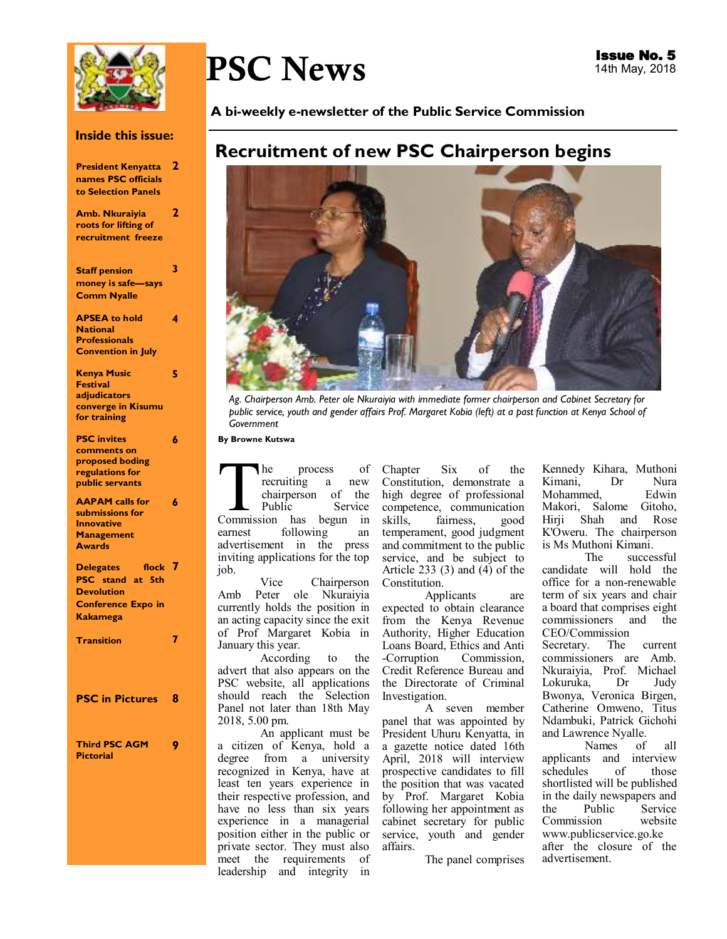

#### **Inside this issue:**

| <b>President Kenyatta</b>                         | 2 |
|---------------------------------------------------|---|
| names PSC officials                               |   |
| to Selection Panels                               |   |
| Amb. Nkuraiyia                                    | 2 |
| roots for lifting of                              |   |
| recruitment freeze                                |   |
|                                                   |   |
| <b>Staff pension</b>                              | 3 |
| money is safe-says                                |   |
| <b>Comm Nyalle</b>                                |   |
|                                                   |   |
| <b>APSEA to hold</b>                              | 4 |
| <b>National</b>                                   |   |
| <b>Professionals</b><br><b>Convention in July</b> |   |
|                                                   |   |
| <b>Kenya Music</b>                                | 5 |
| <b>Festival</b>                                   |   |
| adjudicators                                      |   |
| converge in Kisumu                                |   |
| for training                                      |   |
| <b>PSC</b> invites                                | 6 |
| comments on                                       |   |
| proposed boding                                   |   |
| regulations for<br>public servants                |   |
|                                                   |   |
| <b>AAPAM calls for</b>                            | 6 |
| submissions for                                   |   |
| <b>Innovative</b><br><b>Management</b>            |   |
| <b>Awards</b>                                     |   |
|                                                   |   |
| flock<br><b>Delegates</b><br>PSC stand at 5th     |   |
| <b>Devolution</b>                                 |   |
|                                                   |   |
| <b>Conference Expo in</b><br><b>Kakamega</b>      |   |
|                                                   |   |
| <b>Transition</b>                                 |   |
|                                                   |   |
|                                                   |   |
|                                                   |   |
| <b>PSC in Pictures</b> 8                          |   |
|                                                   |   |
|                                                   |   |
| <b>Third PSC AGM</b>                              |   |
| <b>Pictorial</b>                                  |   |
|                                                   |   |
|                                                   |   |
|                                                   |   |

# PSC News

**A bi-weekly e-newsletter of the Public Service Commission** 

# **Recruitment of new PSC Chairperson begins**



*Ag. Chairperson Amb. Peter ole Nkuraiyia with immediate former chairperson and Cabinet Secretary for public service, youth and gender affairs Prof. Margaret Kobia (left) at a past function at Kenya School of Government* 

**By Browne Kutswa** 

The process of<br>
recruiting a new<br>
chairperson of the<br>
Public Service<br>
Commission has begun in he process of<br>recruiting a new recruiting a chairperson of the Service earnest following an advertisement in the press inviting applications for the top job.

Vice Chairperson Amb Peter ole Nkuraiyia currently holds the position in an acting capacity since the exit of Prof Margaret Kobia in January this year.

to the advert that also appears on the PSC website, all applications should reach the Selection Panel not later than 18th May 2018, 5.00 pm.

An applicant must be a citizen of Kenya, hold a degree from a university recognized in Kenya, have at least ten years experience in their respective profession, and have no less than six years experience in a managerial position either in the public or private sector. They must also meet the requirements of leadership and integrity in

Chapter Six of the Constitution, demonstrate a high degree of professional competence, communication skills, fairness, good temperament, good judgment and commitment to the public service, and be subject to Article 233  $(3)$  and  $(4)$  of the Constitution.

Applicants are expected to obtain clearance from the Kenya Revenue Authority, Higher Education Loans Board, Ethics and Anti Commission. Credit Reference Bureau and the Directorate of Criminal Investigation.

A seven member panel that was appointed by President Uhuru Kenyatta, in a gazette notice dated 16th April, 2018 will interview prospective candidates to fill the position that was vacated by Prof. Margaret Kobia following her appointment as cabinet secretary for public service, youth and gender affairs.

The panel comprises

Kennedy Kihara, Muthoni Kimani, Dr Nura<br>Mohammed. Edwin Mohammed. Makori, Salome Gitoho, Hirji Shah and Rose K'Oweru. The chairperson is Ms Muthoni Kimani.

successful candidate will hold the office for a non-renewable term of six years and chair a board that comprises eight commissioners and the CEO/Commission<br>Secretary. The Secretary. The current commissioners are Amb. Nkuraiyia, Prof. Michael Lokuruka, Bwonya, Veronica Birgen, Catherine Omweno, Titus Ndambuki, Patrick Gichohi and Lawrence Nyalle.

Names of all applicants and interview schedules of those shortlisted will be published in the daily newspapers and<br>the Public Service the Public Service<br>Commission website Commission www.publicservice.go.ke after the closure of the advertisement.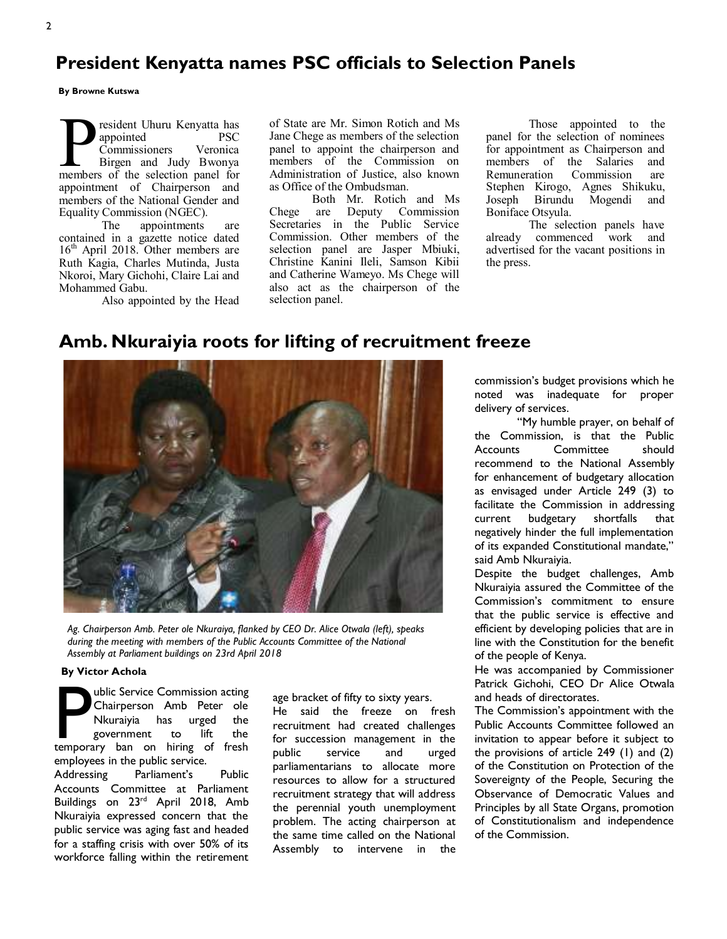# **President Kenyatta names PSC officials to Selection Panels**

**By Browne Kutswa** 

President Uhuru Kenyatta has<br>
appointed PSC<br>
Commissioners Veronica<br>
Birgen and Judy Bwonya<br>
members of the selection panel for resident Uhuru Kenyatta has appointed PSC Commissioners Veronica Birgen and Judy Bwonya appointment of Chairperson and members of the National Gender and Equality Commission (NGEC).

The appointments are contained in a gazette notice dated  $16<sup>th</sup>$  April 2018. Other members are Ruth Kagia, Charles Mutinda, Justa Nkoroi, Mary Gichohi, Claire Lai and Mohammed Gabu.

Also appointed by the Head

of State are Mr. Simon Rotich and Ms Jane Chege as members of the selection panel to appoint the chairperson and members of the Commission on Administration of Justice, also known as Office of the Ombudsman.

Both Mr. Rotich and Ms Chege are Deputy Commission Secretaries in the Public Service Commission. Other members of the selection panel are Jasper Mbiuki, Christine Kanini Ileli, Samson Kibii and Catherine Wameyo. Ms Chege will also act as the chairperson of the selection panel.

Those appointed to the panel for the selection of nominees for appointment as Chairperson and members of the Salaries and Remuneration Commission are Stephen Kirogo, Agnes Shikuku, Joseph Birundu Mogendi and Boniface Otsyula.

The selection panels have already commenced work and advertised for the vacant positions in the press.

## **Amb. Nkuraiyia roots for lifting of recruitment freeze**



*Ag. Chairperson Amb. Peter ole Nkuraiya, flanked by CEO Dr. Alice Otwala (left), speaks during the meeting with members of the Public Accounts Committee of the National Assembly at Parliament buildings on 23rd April 2018*

#### **By Victor Achola**

**P ublic Service Commission acting Chairperson** Amb Peter ole Nkuraiyia has urged the government to lift the temporary ban on hiring of fresh Chairperson Amb Peter ole Nkuraiyia has urged the government to lift the employees in the public service. Addressing Parliament's Public Accounts Committee at Parliament Buildings on 23rd April 2018, Amb Nkuraiyia expressed concern that the public service was aging fast and headed for a staffing crisis with over 50% of its workforce falling within the retirement

age bracket of fifty to sixty years. He said the freeze on fresh recruitment had created challenges for succession management in the public service and urged parliamentarians to allocate more resources to allow for a structured recruitment strategy that will address the perennial youth unemployment problem. The acting chairperson at the same time called on the National Assembly to intervene in the commission's budget provisions which he noted was inadequate for proper delivery of services.

"My humble prayer, on behalf of the Commission, is that the Public Accounts Committee should recommend to the National Assembly for enhancement of budgetary allocation as envisaged under Article 249 (3) to facilitate the Commission in addressing current budgetary shortfalls that negatively hinder the full implementation of its expanded Constitutional mandate," said Amb Nkuraiyia.

Despite the budget challenges, Amb Nkuraiyia assured the Committee of the Commission's commitment to ensure that the public service is effective and efficient by developing policies that are in line with the Constitution for the benefit of the people of Kenya.

He was accompanied by Commissioner Patrick Gichohi, CEO Dr Alice Otwala and heads of directorates.

The Commission's appointment with the Public Accounts Committee followed an invitation to appear before it subject to the provisions of article 249 (1) and (2) of the Constitution on Protection of the Sovereignty of the People, Securing the Observance of Democratic Values and Principles by all State Organs, promotion of Constitutionalism and independence of the Commission.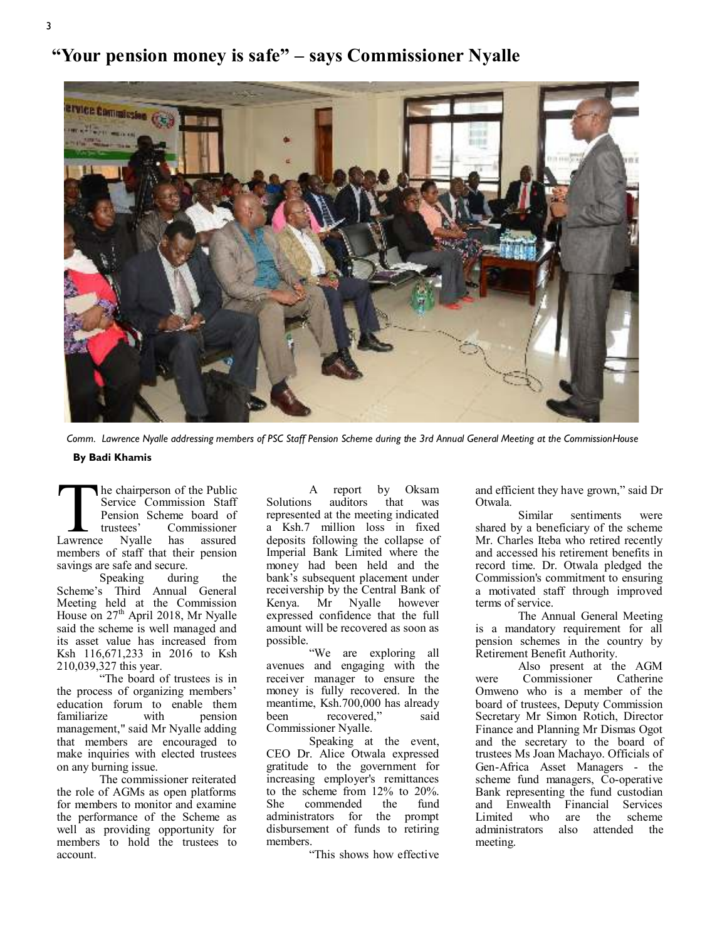# ervice Commission

**"Your pension money is safe" – says Commissioner Nyalle** 

*Comm. Lawrence Nyalle addressing members of PSC Staff Pension Scheme during the 3rd Annual General Meeting at the Commission House* 

#### **By Badi Khamis**

The chairperson of the Public<br>
Service Commission Staff<br>
Pension Scheme board of<br>
trustees' Commissioner<br>
Lawrence Nyalle has assured he chairperson of the Public Service Commission Staff Pension Scheme board of<br>trustees' Commissioner tees' Commissioner<br>Nyalle has assured members of staff that their pension savings are safe and secure.

Speaking during the Scheme's Third Annual General Meeting held at the Commission House on  $27<sup>th</sup>$  April 2018, Mr Nyalle said the scheme is well managed and its asset value has increased from Ksh 116,671,233 in 2016 to Ksh 210,039,327 this year.

"The board of trustees is in the process of organizing members' education forum to enable them<br>familiarize with pension familiarize management," said Mr Nyalle adding that members are encouraged to make inquiries with elected trustees on any burning issue.

The commissioner reiterated the role of AGMs as open platforms for members to monitor and examine the performance of the Scheme as well as providing opportunity for members to hold the trustees to account.

A report by Oksam<br>s auditors that was Solutions **by** represented at the meeting indicated a Ksh.7 million loss in fixed deposits following the collapse of Imperial Bank Limited where the money had been held and the bank's subsequent placement under receivership by the Central Bank of<br>Kenya. Mr Nyalle however Kenya. Mr Nyalle however expressed confidence that the full amount will be recovered as soon as possible.

"We are exploring all avenues and engaging with the receiver manager to ensure the money is fully recovered. In the meantime, Ksh.700,000 has already been recovered," said Commissioner Nyalle.

Speaking at the event, CEO Dr. Alice Otwala expressed gratitude to the government for increasing employer's remittances to the scheme from 12% to 20%. She commended the fund administrators for the prompt disbursement of funds to retiring members.

"This shows how effective

and efficient they have grown," said Dr Otwala.

Similar sentiments were shared by a beneficiary of the scheme Mr. Charles Iteba who retired recently and accessed his retirement benefits in record time. Dr. Otwala pledged the Commission's commitment to ensuring a motivated staff through improved terms of service.

The Annual General Meeting is a mandatory requirement for all pension schemes in the country by Retirement Benefit Authority.

Also present at the AGM<br>Commissioner Catherine were Commissioner Omweno who is a member of the board of trustees, Deputy Commission Secretary Mr Simon Rotich, Director Finance and Planning Mr Dismas Ogot and the secretary to the board of trustees Ms Joan Machayo. Officials of Gen-Africa Asset Managers - the scheme fund managers, Co-operative Bank representing the fund custodian and Enwealth Financial Services Limited who are the scheme<br>administrators also attended administrators also attended the meeting.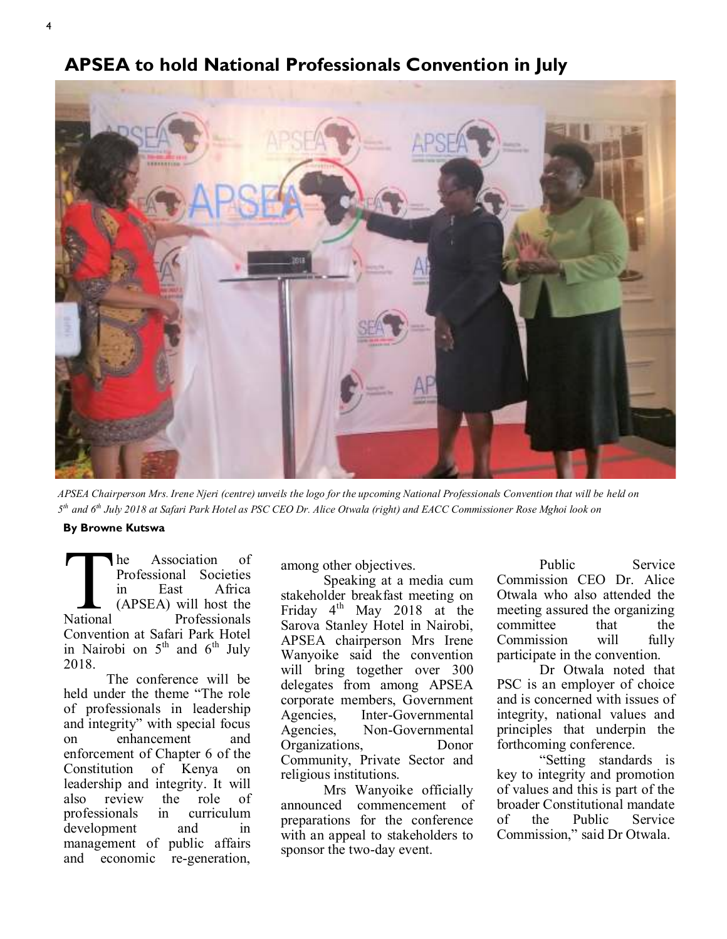

**APSEA to hold National Professionals Convention in July** 

*APSEA Chairperson Mrs. Irene Njeri (centre) unveils the logo for the upcoming National Professionals Convention that will be held on 5 th and 6th July 2018 at Safari Park Hotel as PSC CEO Dr. Alice Otwala (right) and EACC Commissioner Rose Mghoi look on*

#### **By Browne Kutswa**

The<br>Property<br>in<br>(A<br>National Association of Professional Societies East Africa (APSEA) will host the Professionals Convention at Safari Park Hotel in Nairobi on  $5<sup>th</sup>$  and  $6<sup>th</sup>$  July 2018.

The conference will be held under the theme "The role of professionals in leadership and integrity" with special focus on enhancement and enforcement of Chapter 6 of the Constitution of Kenya on leadership and integrity. It will also review the role of professionals in curriculum development and in management of public affairs and economic re-generation,

among other objectives.

Speaking at a media cum stakeholder breakfast meeting on Friday 4<sup>th</sup> May 2018 at the Sarova Stanley Hotel in Nairobi, APSEA chairperson Mrs Irene Wanyoike said the convention will bring together over 300 delegates from among APSEA corporate members, Government Agencies, Inter-Governmental Agencies, Non-Governmental Organizations, Donor Community, Private Sector and religious institutions.

Mrs Wanyoike officially announced commencement of preparations for the conference with an appeal to stakeholders to sponsor the two-day event.

Public Service Commission CEO Dr. Alice Otwala who also attended the meeting assured the organizing committee that the Commission will fully participate in the convention.

Dr Otwala noted that PSC is an employer of choice and is concerned with issues of integrity, national values and principles that underpin the forthcoming conference.

"Setting standards is key to integrity and promotion of values and this is part of the broader Constitutional mandate of the Public Service Commission," said Dr Otwala.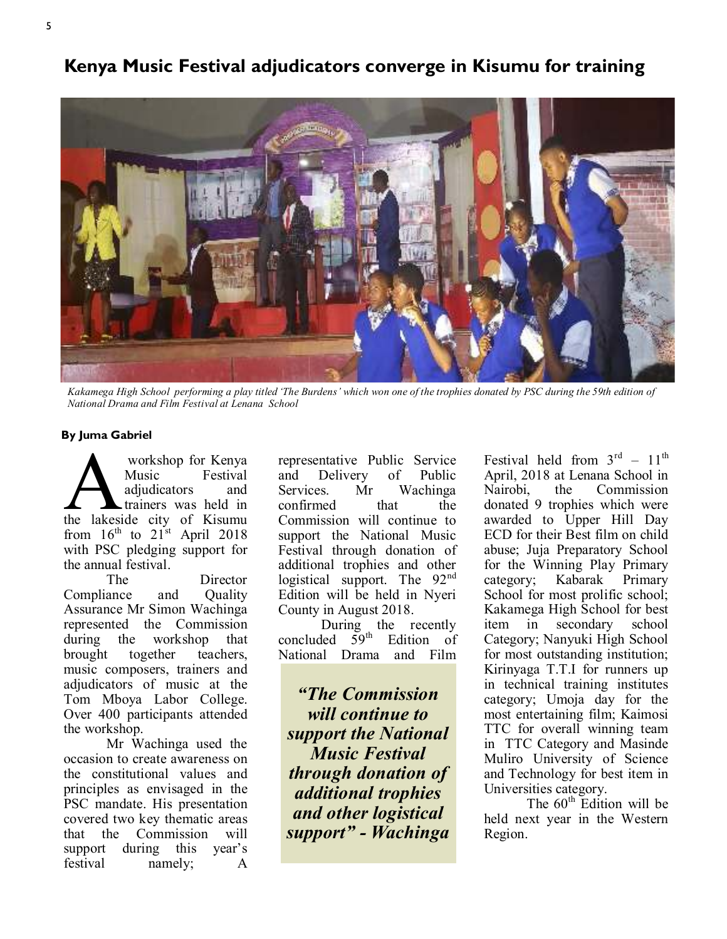# **Kenya Music Festival adjudicators converge in Kisumu for training**



*Kakamega High School performing a play titled 'The Burdens' which won one of the trophies donated by PSC during the 59th edition of National Drama and Film Festival at Lenana School*

#### **By Juma Gabriel**

Workshop for Kenya<br>Music Festival<br>adjudicators and<br>trainers was held in<br>the lakeside city of Kisumu workshop for Kenya Music Festival adjudicators and trainers was held in from  $16<sup>th</sup>$  to  $21<sup>st</sup>$  April 2018 with PSC pledging support for the annual festival.

The Director Compliance and Quality Assurance Mr Simon Wachinga represented the Commission during the workshop that brought together teachers, music composers, trainers and adjudicators of music at the Tom Mboya Labor College. Over 400 participants attended the workshop.

Mr Wachinga used the occasion to create awareness on the constitutional values and principles as envisaged in the PSC mandate. His presentation covered two key thematic areas that the Commission will support during this year's festival namely; A

representative Public Service and Delivery of Public Services. Mr Wachinga confirmed that the Commission will continue to support the National Music Festival through donation of additional trophies and other logistical support. The  $92<sup>nd</sup>$ Edition will be held in Nyeri County in August 2018.

During the recently concluded  $\overline{5}9^{th}$  Edition of National Drama and Film

*"The Commission will continue to support the National Music Festival through donation of additional trophies and other logistical support" - Wachinga* 

Festival held from  $3<sup>rd</sup> - 11<sup>th</sup>$ April, 2018 at Lenana School in Nairobi, the Commission donated 9 trophies which were awarded to Upper Hill Day ECD for their Best film on child abuse; Juja Preparatory School for the Winning Play Primary category; Kabarak Primary School for most prolific school; Kakamega High School for best item in secondary school Category; Nanyuki High School for most outstanding institution; Kirinyaga T.T.I for runners up in technical training institutes category; Umoja day for the most entertaining film; Kaimosi TTC for overall winning team in TTC Category and Masinde Muliro University of Science and Technology for best item in Universities category.

The  $60<sup>th</sup>$  Edition will be held next year in the Western Region.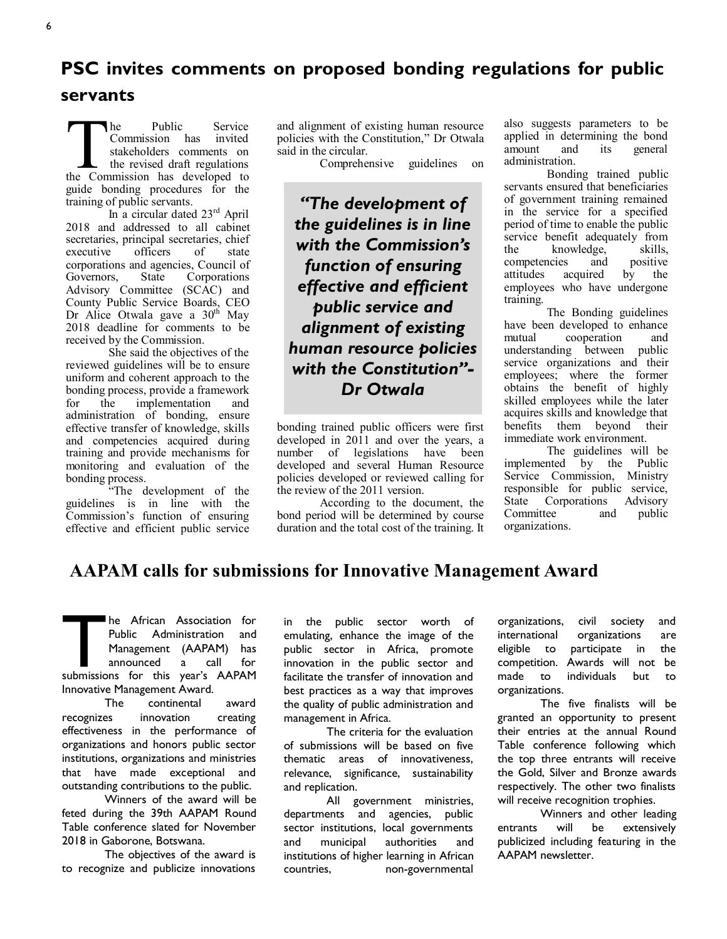# **PSC invites comments on proposed bonding regulations for public servants**

The Public Service<br>
Commission has invited<br>
stakeholders comments on<br>
the revised draft regulations<br>
the Commission has developed to he Public Service<br>Commission has invited Commission has stakeholders comments on the revised draft regulations guide bonding procedures for the training of public servants.

In a circular dated 23<sup>rd</sup> April 2018 and addressed to all cabinet secretaries, principal secretaries, chief executive officers of state corporations and agencies, Council of Governors, State Corporations Advisory Committee (SCAC) and County Public Service Boards, CEO Dr Alice Otwala gave a  $30<sup>th</sup>$  May 2018 deadline for comments to be received by the Commission.

She said the objectives of the reviewed guidelines will be to ensure uniform and coherent approach to the bonding process, provide a framework for the implementation and administration of bonding, ensure effective transfer of knowledge, skills and competencies acquired during training and provide mechanisms for monitoring and evaluation of the bonding process.

"The development of the guidelines is in line with the Commission's function of ensuring effective and efficient public service and alignment of existing human resource policies with the Constitution," Dr Otwala said in the circular.

Comprehensive guidelines on

*"The development of the guidelines is in line with the Commission's function of ensuring effective and efficient public service and alignment of existing human resource policies with the Constitution"- Dr Otwala* 

bonding trained public officers were first developed in 2011 and over the years, a number of legislations have been developed and several Human Resource policies developed or reviewed calling for the review of the 2011 version.

According to the document, the bond period will be determined by course duration and the total cost of the training. It

also suggests parameters to be applied in determining the bond amount and its general administration.

Bonding trained public servants ensured that beneficiaries of government training remained in the service for a specified period of time to enable the public service benefit adequately from the knowledge, skills, competencies and positive attitudes acquired by the employees who have undergone training.

The Bonding guidelines have been developed to enhance mutual cooperation and understanding between public service organizations and their employees; where the former obtains the benefit of highly skilled employees while the later acquires skills and knowledge that benefits them beyond their immediate work environment.

The guidelines will be implemented by the Public Service Commission, Ministry responsible for public service, State Corporations Advisory Committee and public organizations.

# **AAPAM calls for submissions for Innovative Management Award**

The African Association for<br>
Public Administration and<br>
Management (AAPAM) has<br>
announced a call for<br>
submissions for this year's AAPAM Public Administration and Management (AAPAM) has announced a call for Innovative Management Award.

The continental award recognizes innovation creating effectiveness in the performance of organizations and honors public sector institutions, organizations and ministries that have made exceptional and outstanding contributions to the public.

Winners of the award will be feted during the 39th AAPAM Round Table conference slated for November 2018 in Gaborone, Botswana.

The objectives of the award is to recognize and publicize innovations

in the public sector worth of emulating, enhance the image of the public sector in Africa, promote innovation in the public sector and facilitate the transfer of innovation and best practices as a way that improves the quality of public administration and management in Africa.

The criteria for the evaluation of submissions will be based on five thematic areas of innovativeness, relevance, significance, sustainability and replication.

All government ministries, departments and agencies, public sector institutions, local governments and municipal authorities and institutions of higher learning in African countries, non-governmental

organizations, civil society and international organizations are eligible to participate in the competition. Awards will not be made to individuals but to organizations.

The five finalists will be granted an opportunity to present their entries at the annual Round Table conference following which the top three entrants will receive the Gold, Silver and Bronze awards respectively. The other two finalists will receive recognition trophies.

Winners and other leading entrants will be extensively publicized including featuring in the AAPAM newsletter.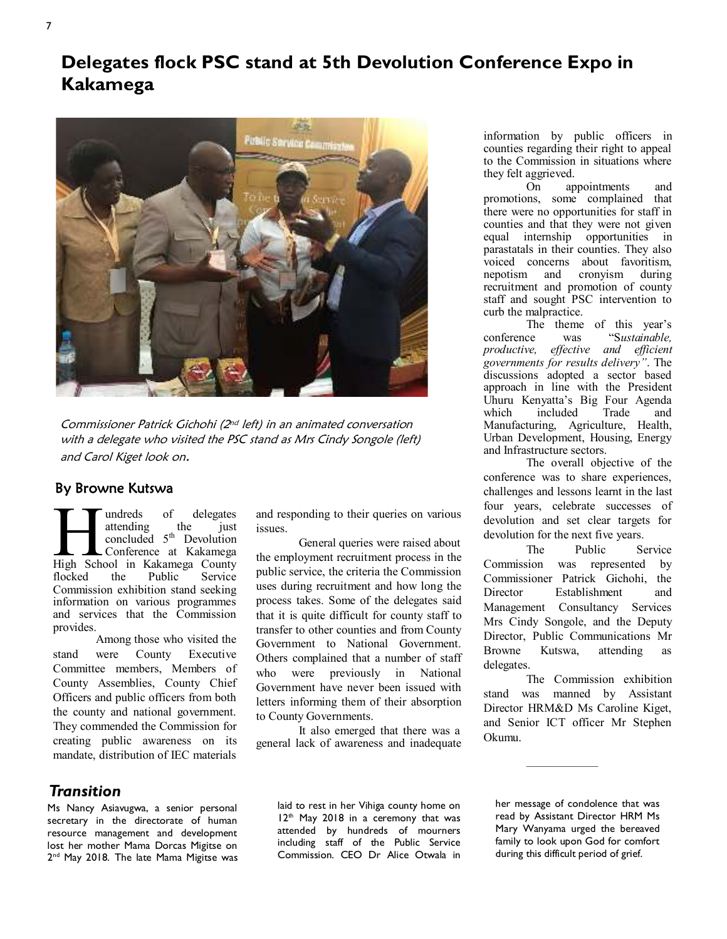# **Delegates flock PSC stand at 5th Devolution Conference Expo in Kakamega**



Commissioner Patrick Gichohi (2nd left) in an animated conversation with a delegate who visited the PSC stand as Mrs Cindy Songole (left) and Carol Kiget look on.

#### By Browne Kutswa

**Hundreds** of delegates attending the just concluded 5<sup>th</sup> Devolution Conference at Kakamega High School in Kakamega County undreds of delegates<br>attending the just attending concluded  $5<sup>th</sup>$  Devolution Conference at Kakamega flocked the Public Service Commission exhibition stand seeking information on various programmes and services that the Commission provides.

Among those who visited the stand were County Executive Committee members, Members of County Assemblies, County Chief Officers and public officers from both the county and national government. They commended the Commission for creating public awareness on its mandate, distribution of IEC materials and responding to their queries on various issues.

General queries were raised about the employment recruitment process in the public service, the criteria the Commission uses during recruitment and how long the process takes. Some of the delegates said that it is quite difficult for county staff to transfer to other counties and from County Government to National Government. Others complained that a number of staff who were previously in National Government have never been issued with letters informing them of their absorption to County Governments.

It also emerged that there was a general lack of awareness and inadequate

information by public officers in counties regarding their right to appeal to the Commission in situations where they felt aggrieved.

On appointments and promotions, some complained that there were no opportunities for staff in counties and that they were not given equal internship opportunities in parastatals in their counties. They also voiced concerns about favoritism, nepotism and cronyism during recruitment and promotion of county staff and sought PSC intervention to curb the malpractice.

The theme of this year's conference was "S*ustainable, productive, effective and efficient governments for results delivery"*. The discussions adopted a sector based approach in line with the President Uhuru Kenyatta's Big Four Agenda which included Trade and Manufacturing, Agriculture, Health, Urban Development, Housing, Energy and Infrastructure sectors.

The overall objective of the conference was to share experiences, challenges and lessons learnt in the last four years, celebrate successes of devolution and set clear targets for devolution for the next five years.

The Public Service Commission was represented by Commissioner Patrick Gichohi, the Director Establishment and Management Consultancy Services Mrs Cindy Songole, and the Deputy Director, Public Communications Mr Browne Kutswa, attending as delegates.

The Commission exhibition stand was manned by Assistant Director HRM&D Ms Caroline Kiget, and Senior ICT officer Mr Stephen Okumu.

——————

# *Transition*

Ms Nancy Asiavugwa, a senior personal secretary in the directorate of human resource management and development lost her mother Mama Dorcas Migitse on 2 nd May 2018. The late Mama Migitse was laid to rest in her Vihiga county home on 12<sup>th</sup> May 2018 in a ceremony that was attended by hundreds of mourners including staff of the Public Service Commission. CEO Dr Alice Otwala in her message of condolence that was read by Assistant Director HRM Ms Mary Wanyama urged the bereaved family to look upon God for comfort during this difficult period of grief.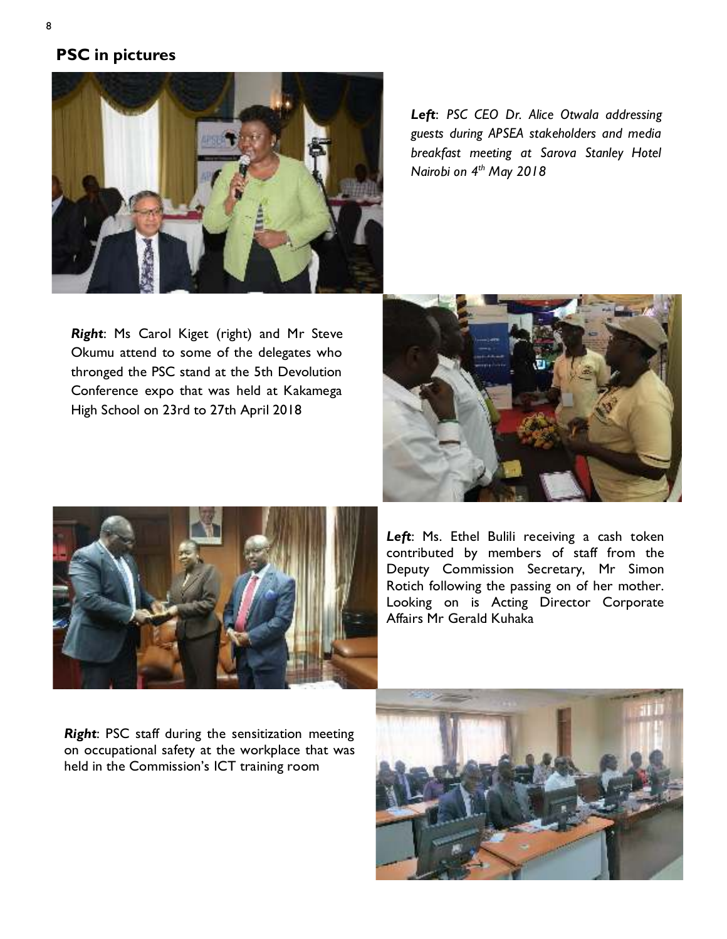# **PSC in pictures**



*Right*: Ms Carol Kiget (right) and Mr Steve Okumu attend to some of the delegates who thronged the PSC stand at the 5th Devolution Conference expo that was held at Kakamega High School on 23rd to 27th April 2018

*Left*: *PSC CEO Dr. Alice Otwala addressing guests during APSEA stakeholders and media breakfast meeting at Sarova Stanley Hotel Nairobi on 4th May 2018* 





Left: Ms. Ethel Bulili receiving a cash token contributed by members of staff from the Deputy Commission Secretary, Mr Simon Rotich following the passing on of her mother. Looking on is Acting Director Corporate Affairs Mr Gerald Kuhaka

*Right*: PSC staff during the sensitization meeting on occupational safety at the workplace that was held in the Commission's ICT training room

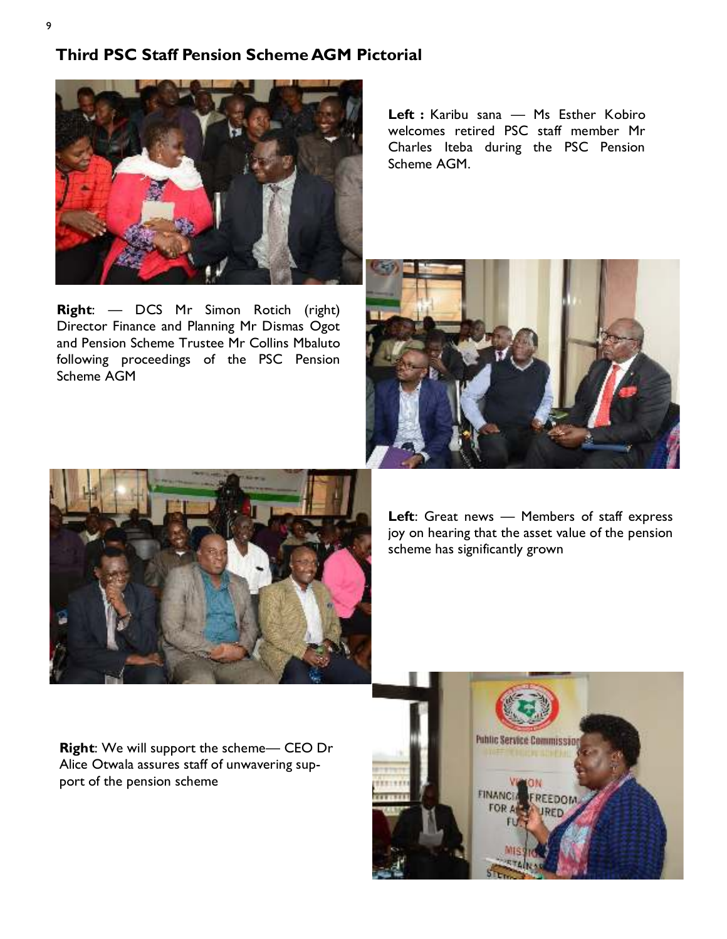## **Third PSC Staff Pension Scheme AGM Pictorial**



**Right**: — DCS Mr Simon Rotich (right) Director Finance and Planning Mr Dismas Ogot and Pension Scheme Trustee Mr Collins Mbaluto following proceedings of the PSC Pension Scheme AGM

Left : Karibu sana - Ms Esther Kobiro welcomes retired PSC staff member Mr Charles Iteba during the PSC Pension Scheme AGM.





**Left**: Great news — Members of staff express joy on hearing that the asset value of the pension scheme has significantly grown

**Right**: We will support the scheme— CEO Dr Alice Otwala assures staff of unwavering support of the pension scheme